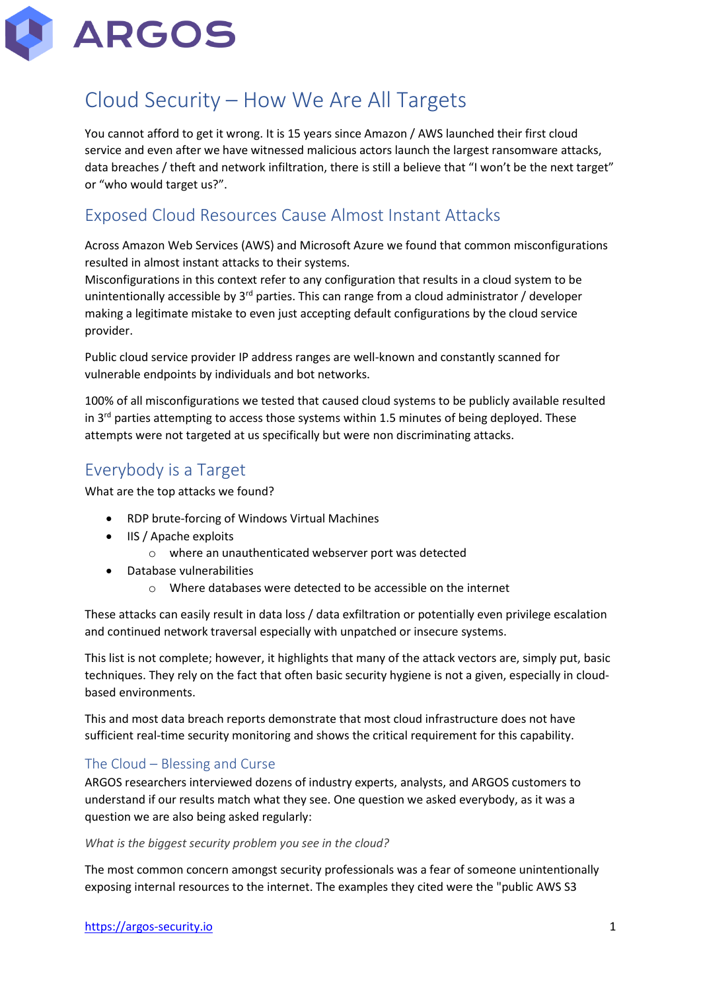

# Cloud Security – How We Are All Targets

You cannot afford to get it wrong. It is 15 years since Amazon / AWS launched their first cloud service and even after we have witnessed malicious actors launch the largest ransomware attacks, data breaches / theft and network infiltration, there is still a believe that "I won't be the next target" or "who would target us?".

### Exposed Cloud Resources Cause Almost Instant Attacks

Across Amazon Web Services (AWS) and Microsoft Azure we found that common misconfigurations resulted in almost instant attacks to their systems.

Misconfigurations in this context refer to any configuration that results in a cloud system to be unintentionally accessible by  $3<sup>rd</sup>$  parties. This can range from a cloud administrator / developer making a legitimate mistake to even just accepting default configurations by the cloud service provider.

Public cloud service provider IP address ranges are well-known and constantly scanned for vulnerable endpoints by individuals and bot networks.

100% of all misconfigurations we tested that caused cloud systems to be publicly available resulted in  $3<sup>rd</sup>$  parties attempting to access those systems within 1.5 minutes of being deployed. These attempts were not targeted at us specifically but were non discriminating attacks.

# Everybody is a Target

What are the top attacks we found?

- RDP brute-forcing of Windows Virtual Machines
- IIS / Apache exploits
	- o where an unauthenticated webserver port was detected
- Database vulnerabilities
	- o Where databases were detected to be accessible on the internet

These attacks can easily result in data loss / data exfiltration or potentially even privilege escalation and continued network traversal especially with unpatched or insecure systems.

This list is not complete; however, it highlights that many of the attack vectors are, simply put, basic techniques. They rely on the fact that often basic security hygiene is not a given, especially in cloudbased environments.

This and most data breach reports demonstrate that most cloud infrastructure does not have sufficient real-time security monitoring and shows the critical requirement for this capability.

### The Cloud – Blessing and Curse

ARGOS researchers interviewed dozens of industry experts, analysts, and ARGOS customers to understand if our results match what they see. One question we asked everybody, as it was a question we are also being asked regularly:

#### *What is the biggest security problem you see in the cloud?*

The most common concern amongst security professionals was a fear of someone unintentionally exposing internal resources to the internet. The examples they cited were the "public AWS S3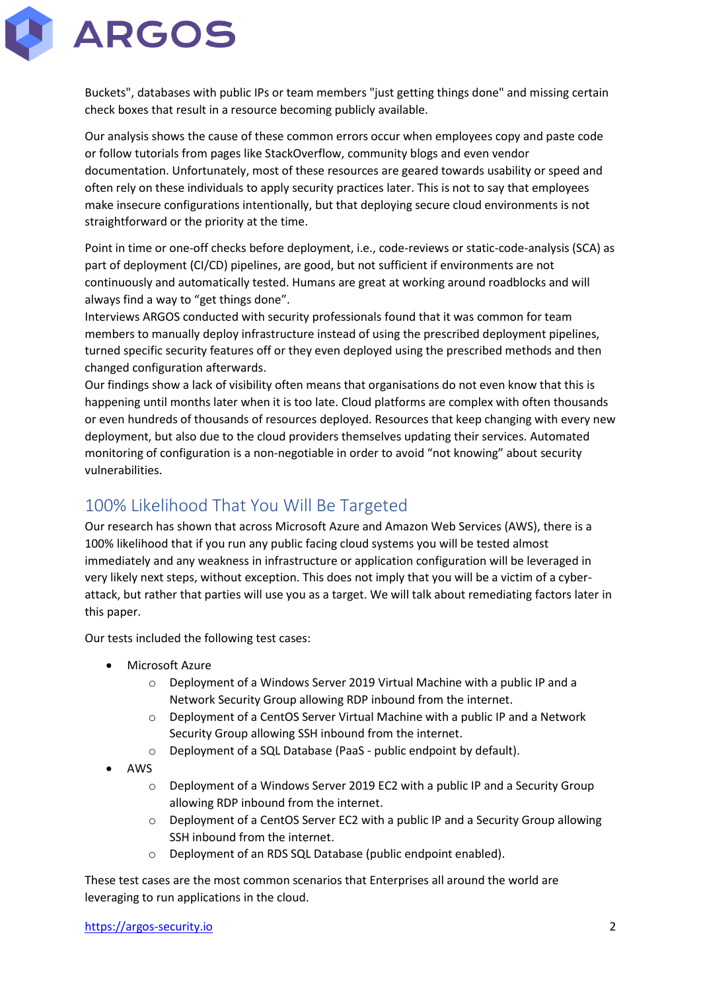

Buckets", databases with public IPs or team members "just getting things done" and missing certain check boxes that result in a resource becoming publicly available.

Our analysis shows the cause of these common errors occur when employees copy and paste code or follow tutorials from pages like StackOverflow, community blogs and even vendor documentation. Unfortunately, most of these resources are geared towards usability or speed and often rely on these individuals to apply security practices later. This is not to say that employees make insecure configurations intentionally, but that deploying secure cloud environments is not straightforward or the priority at the time.

Point in time or one-off checks before deployment, i.e., code-reviews or static-code-analysis (SCA) as part of deployment (CI/CD) pipelines, are good, but not sufficient if environments are not continuously and automatically tested. Humans are great at working around roadblocks and will always find a way to "get things done".

Interviews ARGOS conducted with security professionals found that it was common for team members to manually deploy infrastructure instead of using the prescribed deployment pipelines, turned specific security features off or they even deployed using the prescribed methods and then changed configuration afterwards.

Our findings show a lack of visibility often means that organisations do not even know that this is happening until months later when it is too late. Cloud platforms are complex with often thousands or even hundreds of thousands of resources deployed. Resources that keep changing with every new deployment, but also due to the cloud providers themselves updating their services. Automated monitoring of configuration is a non-negotiable in order to avoid "not knowing" about security vulnerabilities.

## 100% Likelihood That You Will Be Targeted

Our research has shown that across Microsoft Azure and Amazon Web Services (AWS), there is a 100% likelihood that if you run any public facing cloud systems you will be tested almost immediately and any weakness in infrastructure or application configuration will be leveraged in very likely next steps, without exception. This does not imply that you will be a victim of a cyberattack, but rather that parties will use you as a target. We will talk about remediating factors later in this paper.

Our tests included the following test cases:

- Microsoft Azure
	- o Deployment of a Windows Server 2019 Virtual Machine with a public IP and a Network Security Group allowing RDP inbound from the internet.
	- $\circ$  Deployment of a CentOS Server Virtual Machine with a public IP and a Network Security Group allowing SSH inbound from the internet.
	- o Deployment of a SQL Database (PaaS public endpoint by default).
- AWS
	- o Deployment of a Windows Server 2019 EC2 with a public IP and a Security Group allowing RDP inbound from the internet.
	- $\circ$  Deployment of a CentOS Server EC2 with a public IP and a Security Group allowing SSH inbound from the internet.
	- o Deployment of an RDS SQL Database (public endpoint enabled).

These test cases are the most common scenarios that Enterprises all around the world are leveraging to run applications in the cloud.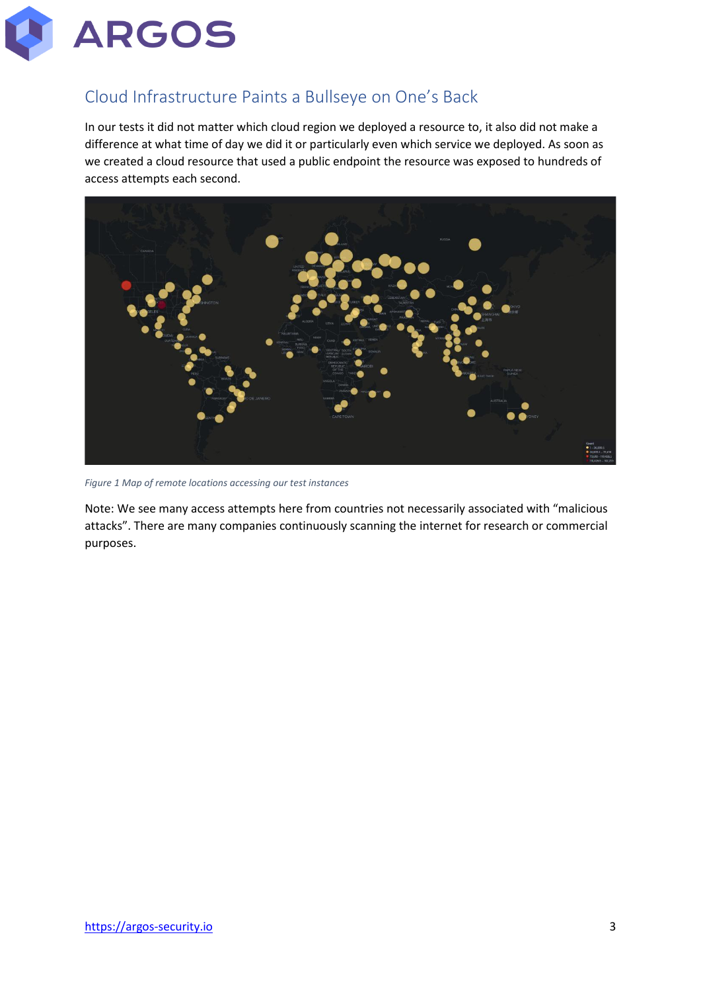

## Cloud Infrastructure Paints a Bullseye on One's Back

In our tests it did not matter which cloud region we deployed a resource to, it also did not make a difference at what time of day we did it or particularly even which service we deployed. As soon as we created a cloud resource that used a public endpoint the resource was exposed to hundreds of access attempts each second.



*Figure 1 Map of remote locations accessing our test instances*

Note: We see many access attempts here from countries not necessarily associated with "malicious attacks". There are many companies continuously scanning the internet for research or commercial purposes.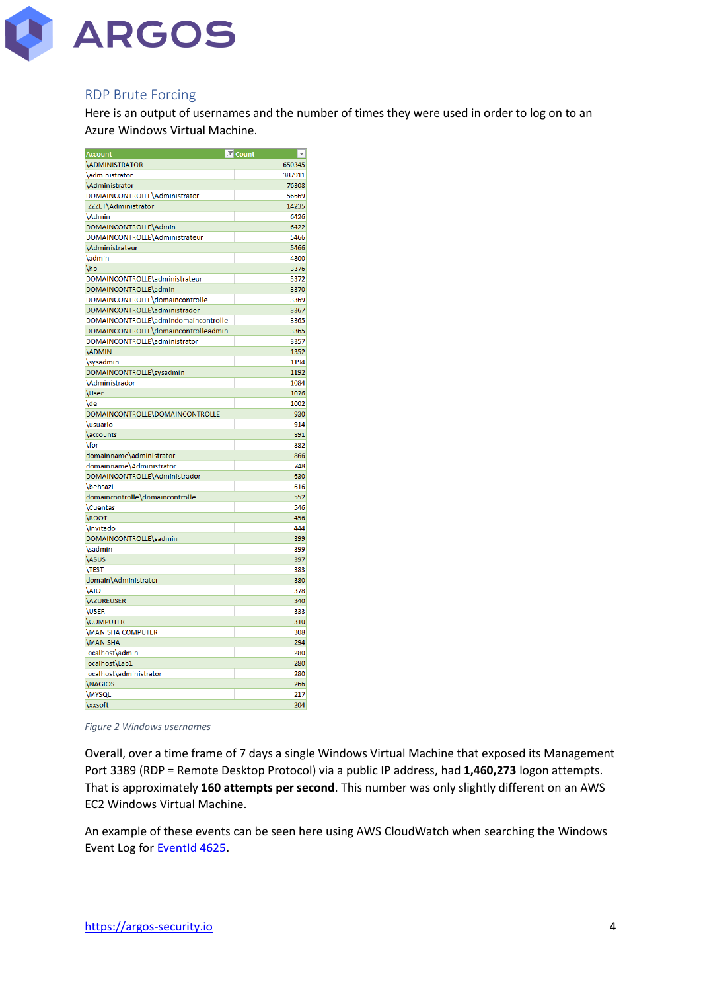

#### RDP Brute Forcing

Here is an output of usernames and the number of times they were used in order to log on to an Azure Windows Virtual Machine.

| <b>Account</b>                       | J Count | $\overline{\phantom{a}}$ |
|--------------------------------------|---------|--------------------------|
| <b>\ADMINISTRATOR</b>                |         | 650345                   |
| \administrator                       |         | 387911                   |
| \Administrator                       |         | 76308                    |
| DOMAINCONTROLLE\Administrator        |         | 56669                    |
| IZZZET\Administrator                 |         | 14235                    |
| <b>Admin</b>                         |         | 6426                     |
| DOMAINCONTROLLE\Admin                |         | 6422                     |
| DOMAINCONTROLLE\Administrateur       |         | 5466                     |
| <b>Administrateur</b>                |         | 5466                     |
| \admin                               |         | 4800                     |
| \hp                                  |         | 3376                     |
| DOMAINCONTROLLE\administrateur       |         | 3372                     |
| DOMAINCONTROLLE\admin                |         | 3370                     |
| DOMAINCONTROLLE\domaincontrolle      |         | 3369                     |
| DOMAINCONTROLLE\administrador        |         | 3367                     |
| DOMAINCONTROLLE\admindomaincontrolle |         | 3365                     |
| DOMAINCONTROLLE\domaincontrolleadmin |         | 3365                     |
| DOMAINCONTROLLE\administrator        |         | 3357                     |
| <b>ADMIN</b>                         |         | 1352                     |
| \sysadmin                            |         | 1194                     |
| DOMAINCONTROLLE\sysadmin             |         | 1192                     |
| <b>Administrador</b>                 |         | 1084                     |
| <b>User</b>                          |         | 1026                     |
| \de                                  |         | 1002                     |
| DOMAINCONTROLLE\DOMAINCONTROLLE      |         | 930                      |
| <b>\usuario</b>                      |         | 914                      |
| \accounts                            |         | 891                      |
| \for                                 |         | 882                      |
| domainname\administrator             |         | 866                      |
| domainname\Administrator             |         | 748                      |
| DOMAINCONTROLLE\Administrador        |         | 630                      |
| <b>\behsazi</b>                      |         | 616                      |
| domaincontrolle\domaincontrolle      |         | 552                      |
| <b>\Cuentas</b>                      |         | 546                      |
| \ROOT                                |         | 456                      |
| <b>Invitado</b>                      |         | 444                      |
| DOMAINCONTROLLE\sadmin               |         | 399                      |
| \sadmin                              |         | 399                      |
| <b>\ASUS</b>                         |         | 397                      |
| <b>TEST</b>                          |         | 383                      |
| domain\Administrator                 |         | 380                      |
| <b>AIO</b>                           |         | 378                      |
| <b>AZUREUSER</b>                     |         | 340                      |
| <b>\USER</b>                         |         | 333                      |
| <b>COMPUTER</b>                      |         | 310                      |
| <b>MANISHA COMPUTER</b>              |         | 308                      |
| <b>MANISHA</b>                       |         | 294                      |
| localhost\admin                      |         | 280                      |
| localhost\Lab1                       |         | 280                      |
| localhost\administrator              |         | 280                      |
| <b><i>NAGIOS</i></b>                 |         | 266                      |
| <b>\MYSQL</b>                        |         | 217                      |
| <b>xxsoft</b>                        |         | 204                      |
|                                      |         |                          |

<span id="page-3-0"></span>*Figure 2 Windows usernames*

Overall, over a time frame of 7 days a single Windows Virtual Machine that exposed its Management Port 3389 (RDP = Remote Desktop Protocol) via a public IP address, had **1,460,273** logon attempts. That is approximately **160 attempts per second**. This number was only slightly different on an AWS EC2 Windows Virtual Machine.

An example of these events can be seen here using AWS CloudWatch when searching the Windows Event Log for [EventId 4625.](https://docs.microsoft.com/en-us/windows/security/threat-protection/auditing/event-4625)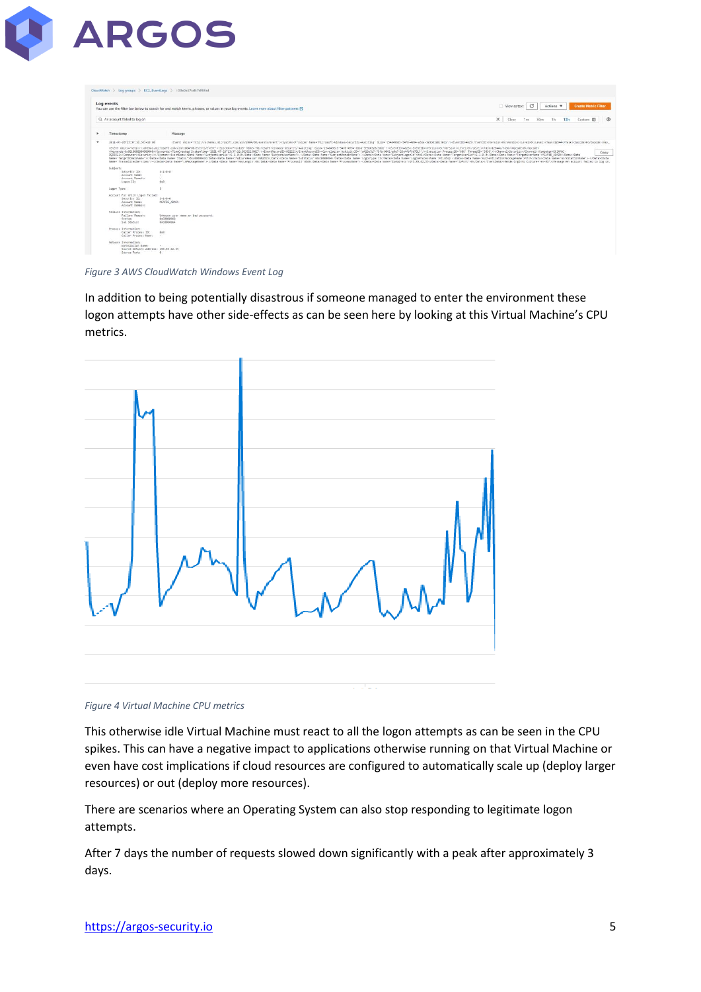

|              | Log events                                                                                        | You can use the filter bar below to search for and match terms, phrases, or values in your loo events. Learn more about filter patterns [7]                                                                                                                                                                                                                                                                                                                                                                                                                                                                                                                                                                                                                                                                                                                                                                                                                                                                                                                                                                                                                                                                                                                                                                                                                                                   | View as text |     | $\circ$ |     | Actions <b>v</b> |     |                  | <b>Create Metric Filter</b> |
|--------------|---------------------------------------------------------------------------------------------------|-----------------------------------------------------------------------------------------------------------------------------------------------------------------------------------------------------------------------------------------------------------------------------------------------------------------------------------------------------------------------------------------------------------------------------------------------------------------------------------------------------------------------------------------------------------------------------------------------------------------------------------------------------------------------------------------------------------------------------------------------------------------------------------------------------------------------------------------------------------------------------------------------------------------------------------------------------------------------------------------------------------------------------------------------------------------------------------------------------------------------------------------------------------------------------------------------------------------------------------------------------------------------------------------------------------------------------------------------------------------------------------------------|--------------|-----|---------|-----|------------------|-----|------------------|-----------------------------|
|              | Q. An account failed to log on                                                                    | $\times$                                                                                                                                                                                                                                                                                                                                                                                                                                                                                                                                                                                                                                                                                                                                                                                                                                                                                                                                                                                                                                                                                                                                                                                                                                                                                                                                                                                      | Clear        | Tm. |         | 20m | 1 <sub>h</sub>   | 12h | Custom <b>IR</b> | $\circ$                     |
| ٠            | Timestamp                                                                                         | Message                                                                                                                                                                                                                                                                                                                                                                                                                                                                                                                                                                                                                                                                                                                                                                                                                                                                                                                                                                                                                                                                                                                                                                                                                                                                                                                                                                                       |              |     |         |     |                  |     |                  |                             |
| $\mathbf{v}$ | 2021-07-20723:37:10.303+10:00                                                                     | <event guid-'54840625-5478-4984-35a-3e200328c30d)'="" hicrosoft-kindows-security-auditing"="" xmlns="http://schemas.microsoft.com/win/2004/05/event/&gt;chevalt-revider Name="></event> cEventID>4625100-Version>0L/Version>0L/Version                                                                                                                                                                                                                                                                                                                                                                                                                                                                                                                                                                                                                                                                                                                                                                                                                                                                                                                                                                                                                                                                                                                                                        |              |     |         |     |                  |     |                  |                             |
|              |                                                                                                   | <event xmlns="http://schemas.microsoft.com/win/2004/05/events/event">clustem&gt;Provider Name="Hicrosoft-Windows-Security-Auditing" Guide="fSAD40625-3478-4894-aSba-bebel33c20d3"/&gt;{EventID&gt;40d25viersion&gt;0vi<br/><keywords>@UBBBBBBBBBBBBBBBBBBBBBBBBBBBBBBBCXCEyerElmc="2B21-07-2BT13137:12B.383922508Z"/&gt;<erentrecordid><correlation activityid+"1a426e7b7-794b-bbb1-704datecution="" processid+"885"=""></correlation><channel>Scounity<vchannel><computer>8C2A<br/>00050214/Computer&gt;(Security/&gt;i/System&gt;(EventData&gt;(Data Name='SubjectUserSid'&gt;5-1-0-04/Data&gt;(Data Name='SubjectUserName'&gt;-4/Data&gt;(Data Name='SubjectUserName'&gt;-4/Data&gt;(Data Name='SubjectUserName'&gt;-4/Data&gt;(Data Name='SubjectU<br/>Name='TargetDomainName"&gt;<data name="Status">@cc0000006d</data><data><data><data><data><data><data>+1%13333<data><data>+00ta Name='SubStatus3333<data>+00ta Name='SubStatus'&gt;=</data>+02tata&gt;+02tata&gt;+02tatus3333<data>+<br/>Nemex/TransposittedServices/&gt;&gt;<deta lapackenwlape="" nemex=""></deta>&gt;</data><data 2010="" 20101="" 21="" 2<="" avent="" entaventhran="" nemex="" process="" td=""><td></td><td></td><td></td><td></td><td></td><td></td><td></td><td>Copy</td></data></data></data></data></data></data></data></data></data></computer></vchannel></channel></erentrecordid></keywords></event> |              |     |         |     |                  |     |                  | Copy                        |
|              | Subject:<br>Security ID:<br>Account Name:<br><b>Account Domain:</b><br>Logon ID:                  | $5 - 1 - 0 - 0$<br>10<br>SO.<br>OxD:                                                                                                                                                                                                                                                                                                                                                                                                                                                                                                                                                                                                                                                                                                                                                                                                                                                                                                                                                                                                                                                                                                                                                                                                                                                                                                                                                          |              |     |         |     |                  |     |                  |                             |
|              | Logon Type:                                                                                       |                                                                                                                                                                                                                                                                                                                                                                                                                                                                                                                                                                                                                                                                                                                                                                                                                                                                                                                                                                                                                                                                                                                                                                                                                                                                                                                                                                                               |              |     |         |     |                  |     |                  |                             |
|              | Account For Which Logon Failed:<br>Security ID:<br>Account Name:<br>Account Domain:               | $5 - 1 - 0 - 0$<br>NCAFEE ADVIS                                                                                                                                                                                                                                                                                                                                                                                                                                                                                                                                                                                                                                                                                                                                                                                                                                                                                                                                                                                                                                                                                                                                                                                                                                                                                                                                                               |              |     |         |     |                  |     |                  |                             |
|              | Failure Information:<br>Failure Reason:<br>Status:<br>Sub Status:                                 | Unknown user name or bad password.<br>@xC8000060<br>0xC0000064                                                                                                                                                                                                                                                                                                                                                                                                                                                                                                                                                                                                                                                                                                                                                                                                                                                                                                                                                                                                                                                                                                                                                                                                                                                                                                                                |              |     |         |     |                  |     |                  |                             |
|              | Process Information:<br>Caller Process ID:<br>Caller Process Name:                                | 0x0<br>- 50                                                                                                                                                                                                                                                                                                                                                                                                                                                                                                                                                                                                                                                                                                                                                                                                                                                                                                                                                                                                                                                                                                                                                                                                                                                                                                                                                                                   |              |     |         |     |                  |     |                  |                             |
|              | Network Information:<br>Workstation Name:<br>Source Network Address: 193.93.62.35<br>Source Port: | $\alpha$ . $\beta$ , $\beta$<br>$\alpha$                                                                                                                                                                                                                                                                                                                                                                                                                                                                                                                                                                                                                                                                                                                                                                                                                                                                                                                                                                                                                                                                                                                                                                                                                                                                                                                                                      |              |     |         |     |                  |     |                  |                             |

*Figure 3 AWS CloudWatch Windows Event Log*

In addition to being potentially disastrous if someone managed to enter the environment these logon attempts have other side-effects as can be seen here by looking at this Virtual Machine's CPU metrics.



#### *Figure 4 Virtual Machine CPU metrics*

This otherwise idle Virtual Machine must react to all the logon attempts as can be seen in the CPU spikes. This can have a negative impact to applications otherwise running on that Virtual Machine or even have cost implications if cloud resources are configured to automatically scale up (deploy larger resources) or out (deploy more resources).

There are scenarios where an Operating System can also stop responding to legitimate logon attempts.

After 7 days the number of requests slowed down significantly with a peak after approximately 3 days.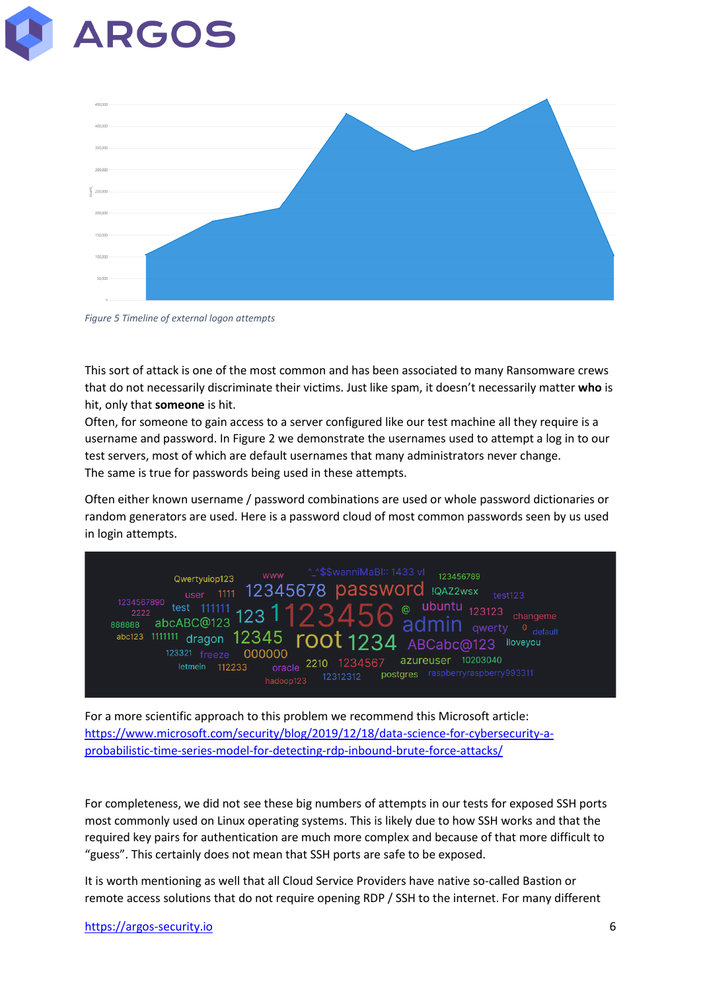



*Figure 5 Timeline of external logon attempts*

This sort of attack is one of the most common and has been associated to many Ransomware crews that do not necessarily discriminate their victims. Just like spam, it doesn't necessarily matter **who** is hit, only that **someone** is hit.

Often, for someone to gain access to a server configured like our test machine all they require is a username and password. I[n Figure 2](#page-3-0) we demonstrate the usernames used to attempt a log in to our test servers, most of which are default usernames that many administrators never change. The same is true for passwords being used in these attempts.

Often either known username / password combinations are used or whole password dictionaries or random generators are used. Here is a password cloud of most common passwords seen by us used in login attempts.



For a more scientific approach to this problem we recommend this Microsoft article: [https://www.microsoft.com/security/blog/2019/12/18/data-science-for-cybersecurity-a](https://www.microsoft.com/security/blog/2019/12/18/data-science-for-cybersecurity-a-probabilistic-time-series-model-for-detecting-rdp-inbound-brute-force-attacks/)[probabilistic-time-series-model-for-detecting-rdp-inbound-brute-force-attacks/](https://www.microsoft.com/security/blog/2019/12/18/data-science-for-cybersecurity-a-probabilistic-time-series-model-for-detecting-rdp-inbound-brute-force-attacks/)

For completeness, we did not see these big numbers of attempts in our tests for exposed SSH ports most commonly used on Linux operating systems. This is likely due to how SSH works and that the required key pairs for authentication are much more complex and because of that more difficult to "guess". This certainly does not mean that SSH ports are safe to be exposed.

It is worth mentioning as well that all Cloud Service Providers have native so-called Bastion or remote access solutions that do not require opening RDP / SSH to the internet. For many different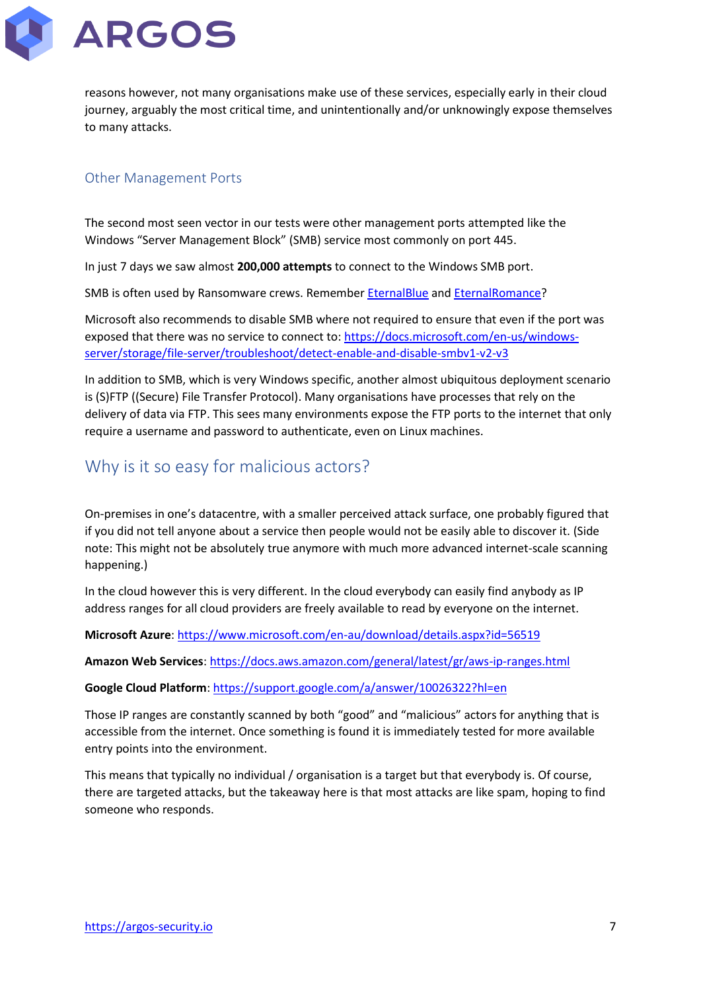

reasons however, not many organisations make use of these services, especially early in their cloud journey, arguably the most critical time, and unintentionally and/or unknowingly expose themselves to many attacks.

### Other Management Ports

The second most seen vector in our tests were other management ports attempted like the Windows "Server Management Block" (SMB) service most commonly on port 445.

In just 7 days we saw almost **200,000 attempts** to connect to the Windows SMB port.

SMB is often used by Ransomware crews. Remember [EternalBlue](https://blog.malwarebytes.com/101/2018/12/how-threat-actors-are-using-smb-vulnerabilities/) an[d EternalRomance?](https://blog.malwarebytes.com/101/2018/12/how-threat-actors-are-using-smb-vulnerabilities/)

Microsoft also recommends to disable SMB where not required to ensure that even if the port was exposed that there was no service to connect to: [https://docs.microsoft.com/en-us/windows](https://docs.microsoft.com/en-us/windows-server/storage/file-server/troubleshoot/detect-enable-and-disable-smbv1-v2-v3)[server/storage/file-server/troubleshoot/detect-enable-and-disable-smbv1-v2-v3](https://docs.microsoft.com/en-us/windows-server/storage/file-server/troubleshoot/detect-enable-and-disable-smbv1-v2-v3)

In addition to SMB, which is very Windows specific, another almost ubiquitous deployment scenario is (S)FTP ((Secure) File Transfer Protocol). Many organisations have processes that rely on the delivery of data via FTP. This sees many environments expose the FTP ports to the internet that only require a username and password to authenticate, even on Linux machines.

### Why is it so easy for malicious actors?

On-premises in one's datacentre, with a smaller perceived attack surface, one probably figured that if you did not tell anyone about a service then people would not be easily able to discover it. (Side note: This might not be absolutely true anymore with much more advanced internet-scale scanning happening.)

In the cloud however this is very different. In the cloud everybody can easily find anybody as IP address ranges for all cloud providers are freely available to read by everyone on the internet.

**Microsoft Azure**[: https://www.microsoft.com/en-au/download/details.aspx?id=56519](https://www.microsoft.com/en-au/download/details.aspx?id=56519)

**Amazon Web Services**:<https://docs.aws.amazon.com/general/latest/gr/aws-ip-ranges.html>

**Google Cloud Platform**:<https://support.google.com/a/answer/10026322?hl=en>

Those IP ranges are constantly scanned by both "good" and "malicious" actors for anything that is accessible from the internet. Once something is found it is immediately tested for more available entry points into the environment.

This means that typically no individual / organisation is a target but that everybody is. Of course, there are targeted attacks, but the takeaway here is that most attacks are like spam, hoping to find someone who responds.